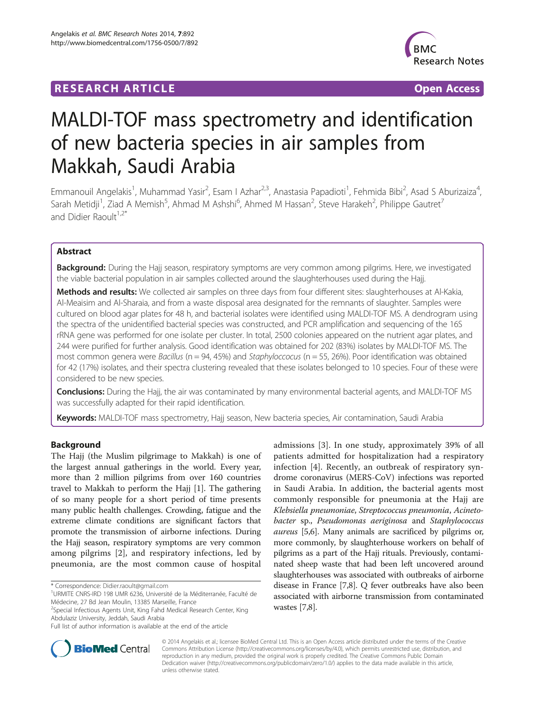# **RESEARCH ARTICLE Example 2018 12:00 Department of the CONNECTION CONNECTION CONNECTION CONNECTION**



# MALDI-TOF mass spectrometry and identification of new bacteria species in air samples from Makkah, Saudi Arabia

Emmanouil Angelakis<sup>1</sup>, Muhammad Yasir<sup>2</sup>, Esam I Azhar<sup>2,3</sup>, Anastasia Papadioti<sup>1</sup>, Fehmida Bibi<sup>2</sup>, Asad S Aburizaiza<sup>4</sup> , Sarah Metidji<sup>1</sup>, Ziad A Memish<sup>5</sup>, Ahmad M Ashshi<sup>6</sup>, Ahmed M Hassan<sup>2</sup>, Steve Harakeh<sup>2</sup>, Philippe Gautret<sup>7</sup> and Didier Raoult<sup>1,2\*</sup>

# Abstract

Background: During the Hajj season, respiratory symptoms are very common among pilgrims. Here, we investigated the viable bacterial population in air samples collected around the slaughterhouses used during the Hajj.

Methods and results: We collected air samples on three days from four different sites: slaughterhouses at Al-Kakia, Al-Meaisim and Al-Sharaia, and from a waste disposal area designated for the remnants of slaughter. Samples were cultured on blood agar plates for 48 h, and bacterial isolates were identified using MALDI-TOF MS. A dendrogram using the spectra of the unidentified bacterial species was constructed, and PCR amplification and sequencing of the 16S rRNA gene was performed for one isolate per cluster. In total, 2500 colonies appeared on the nutrient agar plates, and 244 were purified for further analysis. Good identification was obtained for 202 (83%) isolates by MALDI-TOF MS. The most common genera were Bacillus (n = 94, 45%) and Staphyloccocus (n = 55, 26%). Poor identification was obtained for 42 (17%) isolates, and their spectra clustering revealed that these isolates belonged to 10 species. Four of these were considered to be new species.

Conclusions: During the Hajj, the air was contaminated by many environmental bacterial agents, and MALDI-TOF MS was successfully adapted for their rapid identification.

Keywords: MALDI-TOF mass spectrometry, Hajj season, New bacteria species, Air contamination, Saudi Arabia

# Background

The Hajj (the Muslim pilgrimage to Makkah) is one of the largest annual gatherings in the world. Every year, more than 2 million pilgrims from over 160 countries travel to Makkah to perform the Hajj [[1\]](#page-7-0). The gathering of so many people for a short period of time presents many public health challenges. Crowding, fatigue and the extreme climate conditions are significant factors that promote the transmission of airborne infections. During the Hajj season, respiratory symptoms are very common among pilgrims [\[2](#page-7-0)], and respiratory infections, led by pneumonia, are the most common cause of hospital

admissions [[3\]](#page-7-0). In one study, approximately 39% of all patients admitted for hospitalization had a respiratory infection [[4\]](#page-7-0). Recently, an outbreak of respiratory syndrome coronavirus (MERS-CoV) infections was reported in Saudi Arabia. In addition, the bacterial agents most commonly responsible for pneumonia at the Hajj are Klebsiella pneumoniae, Streptococcus pneumonia, Acinetobacter sp., Pseudomonas aeriginosa and Staphylococcus aureus [[5,6](#page-7-0)]. Many animals are sacrificed by pilgrims or, more commonly, by slaughterhouse workers on behalf of pilgrims as a part of the Hajj rituals. Previously, contaminated sheep waste that had been left uncovered around slaughterhouses was associated with outbreaks of airborne disease in France [\[7,8](#page-7-0)]. Q fever outbreaks have also been associated with airborne transmission from contaminated wastes [\[7,8](#page-7-0)].



© 2014 Angelakis et al.; licensee BioMed Central Ltd. This is an Open Access article distributed under the terms of the Creative Commons Attribution License [\(http://creativecommons.org/licenses/by/4.0\)](http://creativecommons.org/licenses/by/4.0), which permits unrestricted use, distribution, and reproduction in any medium, provided the original work is properly credited. The Creative Commons Public Domain Dedication waiver [\(http://creativecommons.org/publicdomain/zero/1.0/](http://creativecommons.org/publicdomain/zero/1.0/)) applies to the data made available in this article, unless otherwise stated.

<sup>\*</sup> Correspondence: [Didier.raoult@gmail.com](mailto:Didier.raoult@gmail.com) <sup>1</sup>

<sup>&</sup>lt;sup>1</sup>URMITE CNRS-IRD 198 UMR 6236, Université de la Méditerranée, Faculté de Médecine, 27 Bd Jean Moulin, 13385 Marseille, France

<sup>&</sup>lt;sup>2</sup>Special Infectious Agents Unit, King Fahd Medical Research Center, King Abdulaziz University, Jeddah, Saudi Arabia

Full list of author information is available at the end of the article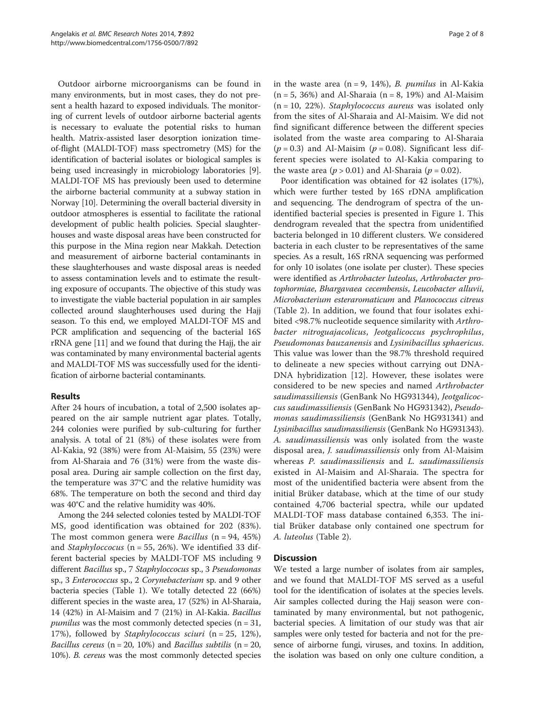Outdoor airborne microorganisms can be found in many environments, but in most cases, they do not present a health hazard to exposed individuals. The monitoring of current levels of outdoor airborne bacterial agents is necessary to evaluate the potential risks to human health. Matrix-assisted laser desorption ionization timeof-flight (MALDI-TOF) mass spectrometry (MS) for the identification of bacterial isolates or biological samples is being used increasingly in microbiology laboratories [[9](#page-7-0)]. MALDI-TOF MS has previously been used to determine the airborne bacterial community at a subway station in Norway [\[10\]](#page-7-0). Determining the overall bacterial diversity in outdoor atmospheres is essential to facilitate the rational development of public health policies. Special slaughterhouses and waste disposal areas have been constructed for this purpose in the Mina region near Makkah. Detection and measurement of airborne bacterial contaminants in these slaughterhouses and waste disposal areas is needed to assess contamination levels and to estimate the resulting exposure of occupants. The objective of this study was to investigate the viable bacterial population in air samples collected around slaughterhouses used during the Hajj season. To this end, we employed MALDI-TOF MS and PCR amplification and sequencing of the bacterial 16S rRNA gene [[11](#page-7-0)] and we found that during the Hajj, the air was contaminated by many environmental bacterial agents and MALDI-TOF MS was successfully used for the identification of airborne bacterial contaminants.

# Results

After 24 hours of incubation, a total of 2,500 isolates appeared on the air sample nutrient agar plates. Totally, 244 colonies were purified by sub-culturing for further analysis. A total of 21 (8%) of these isolates were from Al-Kakia, 92 (38%) were from Al-Maisim, 55 (23%) were from Al-Sharaia and 76 (31%) were from the waste disposal area. During air sample collection on the first day, the temperature was 37°C and the relative humidity was 68%. The temperature on both the second and third day was 40°C and the relative humidity was 40%.

Among the 244 selected colonies tested by MALDI-TOF MS, good identification was obtained for 202 (83%). The most common genera were *Bacillus* ( $n = 94, 45\%)$ and *Staphyloccocus* ( $n = 55$ , 26%). We identified 33 different bacterial species by MALDI-TOF MS including 9 different Bacillus sp., 7 Staphyloccocus sp., 3 Pseudomonas sp., 3 Enterococcus sp., 2 Corynebacterium sp. and 9 other bacteria species (Table [1\)](#page-2-0). We totally detected 22 (66%) different species in the waste area, 17 (52%) in Al-Sharaia, 14 (42%) in Al-Maisim and 7 (21%) in Al-Kakia. Bacillus *pumilus* was the most commonly detected species ( $n = 31$ , 17%), followed by *Staphylococcus sciuri* ( $n = 25, 12\%$ ), *Bacillus cereus* ( $n = 20$ , 10%) and *Bacillus subtilis* ( $n = 20$ , 10%). B. cereus was the most commonly detected species in the waste area  $(n = 9, 14\%)$ , *B. pumilus* in Al-Kakia  $(n = 5, 36%)$  and Al-Sharaia  $(n = 8, 19%)$  and Al-Maisim  $(n = 10, 22\%)$ . Staphylococcus aureus was isolated only from the sites of Al-Sharaia and Al-Maisim. We did not find significant difference between the different species isolated from the waste area comparing to Al-Sharaia  $(p = 0.3)$  and Al-Maisim  $(p = 0.08)$ . Significant less different species were isolated to Al-Kakia comparing to the waste area ( $p > 0.01$ ) and Al-Sharaia ( $p = 0.02$ ).

Poor identification was obtained for 42 isolates (17%), which were further tested by 16S rDNA amplification and sequencing. The dendrogram of spectra of the unidentified bacterial species is presented in Figure [1.](#page-4-0) This dendrogram revealed that the spectra from unidentified bacteria belonged in 10 different clusters. We considered bacteria in each cluster to be representatives of the same species. As a result, 16S rRNA sequencing was performed for only 10 isolates (one isolate per cluster). These species were identified as Arthrobacter luteolus, Arthrobacter protophormiae, Bhargavaea cecembensis, Leucobacter alluvii, Microbacterium esteraromaticum and Planococcus citreus (Table [2](#page-4-0)). In addition, we found that four isolates exhibited <98.7% nucleotide sequence similarity with Arthrobacter nitroguajacolicus, Jeotgalicoccus psychrophilus, Pseudomonas bauzanensis and Lysinibacillus sphaericus. This value was lower than the 98.7% threshold required to delineate a new species without carrying out DNA-DNA hybridization [\[12](#page-7-0)]. However, these isolates were considered to be new species and named Arthrobacter saudimassiliensis (GenBank No HG931344), Jeotgalicoccus saudimassiliensis (GenBank No HG931342), Pseudomonas saudimassiliensis (GenBank No HG931341) and Lysinibacillus saudimassiliensis (GenBank No HG931343). A. saudimassiliensis was only isolated from the waste disposal area, J. saudimassiliensis only from Al-Maisim whereas P. saudimassiliensis and L. saudimassiliensis existed in Al-Maisim and Al-Sharaia. The spectra for most of the unidentified bacteria were absent from the initial Brüker database, which at the time of our study contained 4,706 bacterial spectra, while our updated MALDI-TOF mass database contained 6,353. The initial Brüker database only contained one spectrum for A. luteolus (Table [2\)](#page-4-0).

#### **Discussion**

We tested a large number of isolates from air samples, and we found that MALDI-TOF MS served as a useful tool for the identification of isolates at the species levels. Air samples collected during the Hajj season were contaminated by many environmental, but not pathogenic, bacterial species. A limitation of our study was that air samples were only tested for bacteria and not for the presence of airborne fungi, viruses, and toxins. In addition, the isolation was based on only one culture condition, a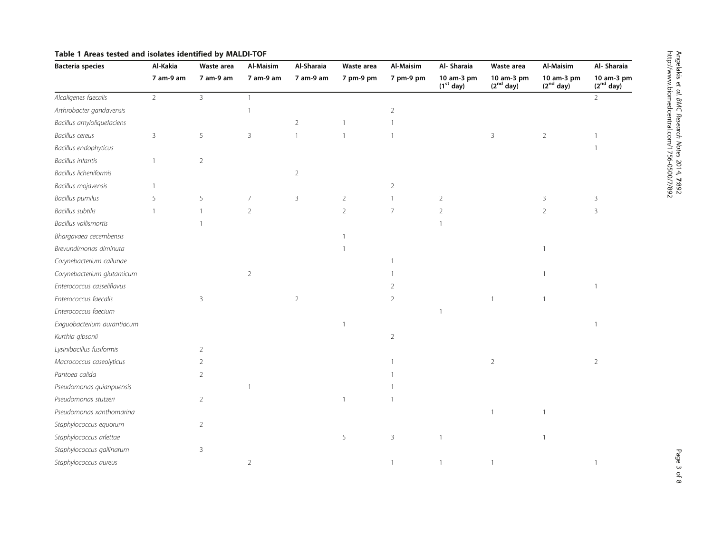| <b>Bacteria species</b>      | Al-Kakia       | Waste area     | <b>Al-Maisim</b> | Al-Sharaia     | Waste area     | Al-Maisim      | Al- Sharaia               | Waste area                          | Al-Maisim                           | Al- Sharaia                         |
|------------------------------|----------------|----------------|------------------|----------------|----------------|----------------|---------------------------|-------------------------------------|-------------------------------------|-------------------------------------|
|                              | 7 am-9 am      | 7 am-9 am      | 7 am-9 am        | 7 am-9 am      | 7 pm-9 pm      | 7 pm-9 pm      | 10 am-3 pm<br>$(1st$ day) | 10 am-3 pm<br>(2 <sup>nd</sup> day) | 10 am-3 pm<br>(2 <sup>nd</sup> day) | 10 am-3 pm<br>(2 <sup>nd</sup> day) |
| Alcaligenes faecalis         | $\overline{2}$ | $\overline{3}$ | $\overline{1}$   |                |                |                |                           |                                     |                                     | $\overline{2}$                      |
| Arthrobacter gandavensis     |                |                |                  |                |                | $\overline{2}$ |                           |                                     |                                     |                                     |
| Bacillus amyloliquefaciens   |                |                |                  | $\overline{2}$ |                | 1              |                           |                                     |                                     |                                     |
| <b>Bacillus</b> cereus       | $\overline{3}$ | 5              | 3                |                |                | $\overline{1}$ |                           | $\overline{3}$                      | $\overline{2}$                      |                                     |
| Bacillus endophyticus        |                |                |                  |                |                |                |                           |                                     |                                     |                                     |
| <b>Bacillus infantis</b>     |                | $\sqrt{2}$     |                  |                |                |                |                           |                                     |                                     |                                     |
| Bacillus licheniformis       |                |                |                  | $\overline{2}$ |                |                |                           |                                     |                                     |                                     |
| Bacillus mojavensis          |                |                |                  |                |                | 2              |                           |                                     |                                     |                                     |
| <b>Bacillus pumilus</b>      | 5              | 5              | $\overline{7}$   | 3              | $\overline{2}$ | $\mathbf{1}$   | $\overline{2}$            |                                     | 3                                   | 3                                   |
| <b>Bacillus subtilis</b>     |                | $\mathbf{1}$   | $\overline{2}$   |                | $\overline{2}$ | $\overline{7}$ | $\overline{2}$            |                                     | $\overline{2}$                      | $\mathbf{3}$                        |
| <b>Bacillus vallismortis</b> |                |                |                  |                |                |                |                           |                                     |                                     |                                     |
| Bhargavaea cecembensis       |                |                |                  |                |                |                |                           |                                     |                                     |                                     |
| Brevundimonas diminuta       |                |                |                  |                |                |                |                           |                                     |                                     |                                     |
| Corynebacterium callunae     |                |                |                  |                |                |                |                           |                                     |                                     |                                     |
| Corynebacterium glutamicum   |                |                | $\overline{2}$   |                |                |                |                           |                                     |                                     |                                     |
| Enterococcus casseliflavus   |                |                |                  |                |                | $\overline{2}$ |                           |                                     |                                     | 1                                   |
| Enterococcus faecalis        |                | 3              |                  | $\overline{2}$ |                | $\overline{2}$ |                           |                                     |                                     |                                     |
| Enterococcus faecium         |                |                |                  |                |                |                | $\overline{1}$            |                                     |                                     |                                     |
| Exiguobacterium aurantiacum  |                |                |                  |                |                |                |                           |                                     |                                     | $\mathbf{1}$                        |
| Kurthia gibsonii             |                |                |                  |                |                | 2              |                           |                                     |                                     |                                     |
| Lysinibacillus fusiformis    |                | $\overline{2}$ |                  |                |                |                |                           |                                     |                                     |                                     |
| Macrococcus caseolyticus     |                | 2              |                  |                |                |                |                           | $\overline{2}$                      |                                     | $\overline{2}$                      |
| Pantoea calida               |                | $\overline{2}$ |                  |                |                |                |                           |                                     |                                     |                                     |
| Pseudomonas quianpuensis     |                |                |                  |                |                |                |                           |                                     |                                     |                                     |
| Pseudomonas stutzeri         |                | $\overline{2}$ |                  |                |                |                |                           |                                     |                                     |                                     |
| Pseudomonas xanthomarina     |                |                |                  |                |                |                |                           |                                     |                                     |                                     |
| Staphylococcus equorum       |                | $\overline{2}$ |                  |                |                |                |                           |                                     |                                     |                                     |
| Staphylococcus arlettae      |                |                |                  |                | 5              | $\overline{3}$ | $\mathbf{1}$              |                                     |                                     |                                     |
| Staphylococcus gallinarum    |                | 3              |                  |                |                |                |                           |                                     |                                     |                                     |
| Staphylococcus aureus        |                |                | $\overline{2}$   |                |                | $\mathbf{1}$   | $\mathbf{1}$              |                                     |                                     | $\mathbf{1}$                        |

# <span id="page-2-0"></span>Table 1 Areas tested and isolates identified by MALDI-TOF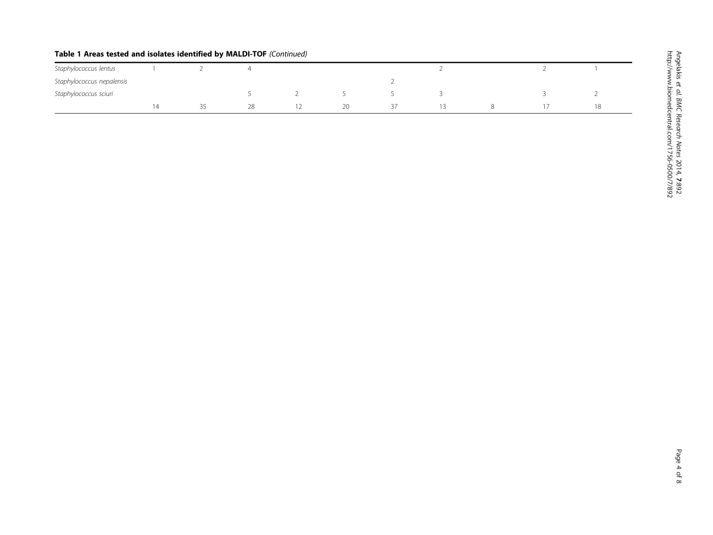| Staphylococcus lentus     |  |    |     |    |  |  |    |
|---------------------------|--|----|-----|----|--|--|----|
| Staphylococcus nepalensis |  |    |     |    |  |  |    |
| Staphylococcus sciuri     |  |    |     |    |  |  |    |
|                           |  | 28 | 1 Z | 20 |  |  | 18 |

# Table 1 Areas tested and isolates identified by MALDI-TOF (Continued)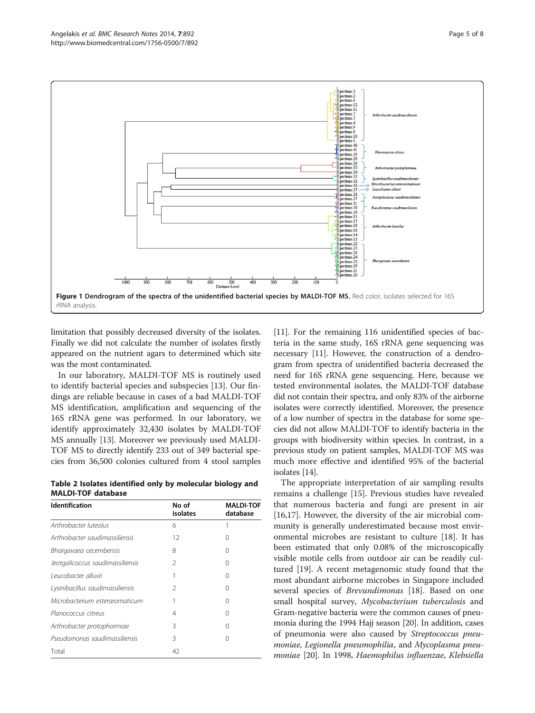<span id="page-4-0"></span>

limitation that possibly decreased diversity of the isolates. Finally we did not calculate the number of isolates firstly appeared on the nutrient agars to determined which site was the most contaminated.

In our laboratory, MALDI-TOF MS is routinely used to identify bacterial species and subspecies [\[13](#page-7-0)]. Our findings are reliable because in cases of a bad MALDI-TOF MS identification, amplification and sequencing of the 16S rRNA gene was performed. In our laboratory, we identify approximately 32,430 isolates by MALDI-TOF MS annually [\[13\]](#page-7-0). Moreover we previously used MALDI-TOF MS to directly identify 233 out of 349 bacterial species from 36,500 colonies cultured from 4 stool samples

Table 2 Isolates identified only by molecular biology and MALDI-TOF database

| <b>Identification</b>            | No of<br>isolates | <b>MALDI-TOF</b><br>database |  |  |
|----------------------------------|-------------------|------------------------------|--|--|
| Arthrobacter luteolus            | 6                 |                              |  |  |
| Arthrobacter saudimassiliensis   | 12                | 0                            |  |  |
| Bhargavaea cecembensis           | 8                 | 0                            |  |  |
| Jeotgalicoccus saudimassiliensis | 2                 | 0                            |  |  |
| Leucobacter alluvii              |                   | 0                            |  |  |
| Lysinibacillus saudimassiliensis | 2                 | 0                            |  |  |
| Microbacterium esteraromaticum   |                   | 0                            |  |  |
| Planococcus citreus              | 4                 | 0                            |  |  |
| Arthrobacter protophormiae       | 3                 | Ω                            |  |  |
| Pseudomonas saudimassiliensis    | 3                 | Ω                            |  |  |
| Total                            | 42                |                              |  |  |

[[11](#page-7-0)]. For the remaining 116 unidentified species of bacteria in the same study, 16S rRNA gene sequencing was necessary [[11](#page-7-0)]. However, the construction of a dendrogram from spectra of unidentified bacteria decreased the need for 16S rRNA gene sequencing. Here, because we tested environmental isolates, the MALDI-TOF database did not contain their spectra, and only 83% of the airborne isolates were correctly identified. Moreover, the presence of a low number of spectra in the database for some species did not allow MALDI-TOF to identify bacteria in the groups with biodiversity within species. In contrast, in a previous study on patient samples, MALDI-TOF MS was much more effective and identified 95% of the bacterial isolates [\[14](#page-7-0)].

The appropriate interpretation of air sampling results remains a challenge [[15](#page-7-0)]. Previous studies have revealed that numerous bacteria and fungi are present in air [[16,17\]](#page-7-0). However, the diversity of the air microbial community is generally underestimated because most environmental microbes are resistant to culture [\[18](#page-7-0)]. It has been estimated that only 0.08% of the microscopically visible motile cells from outdoor air can be readily cultured [[19](#page-7-0)]. A recent metagenomic study found that the most abundant airborne microbes in Singapore included several species of *Brevundimonas* [[18\]](#page-7-0). Based on one small hospital survey, Mycobacterium tuberculosis and Gram-negative bacteria were the common causes of pneumonia during the 1994 Hajj season [\[20\]](#page-7-0). In addition, cases of pneumonia were also caused by Streptococcus pneumoniae, Legionella pneumophilia, and Mycoplasma pneumoniae [\[20\]](#page-7-0). In 1998, Haemophilus influenzae, Klebsiella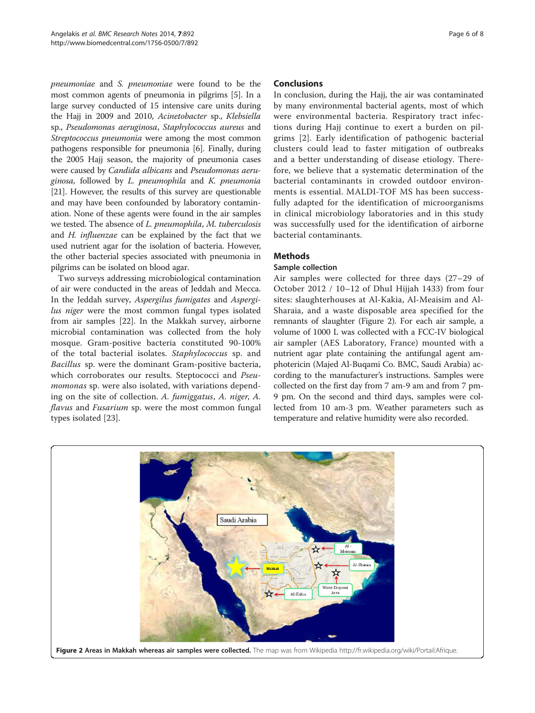pneumoniae and S. pneumoniae were found to be the most common agents of pneumonia in pilgrims [\[5](#page-7-0)]. In a large survey conducted of 15 intensive care units during the Hajj in 2009 and 2010, Acinetobacter sp., Klebsiella sp., Pseudomonas aeruginosa, Staphylococcus aureus and Streptococcus pneumonia were among the most common pathogens responsible for pneumonia [[6\]](#page-7-0). Finally, during the 2005 Hajj season, the majority of pneumonia cases were caused by Candida albicans and Pseudomonas aeruginosa, followed by L. pneumophila and K. pneumonia [[21](#page-7-0)]. However, the results of this survey are questionable and may have been confounded by laboratory contamination. None of these agents were found in the air samples we tested. The absence of L. pneumophila, M. tuberculosis and H. influenzae can be explained by the fact that we used nutrient agar for the isolation of bacteria. However, the other bacterial species associated with pneumonia in pilgrims can be isolated on blood agar.

Two surveys addressing microbiological contamination of air were conducted in the areas of Jeddah and Mecca. In the Jeddah survey, Aspergilus fumigates and Aspergilus niger were the most common fungal types isolated from air samples [[22\]](#page-7-0). In the Makkah survey, airborne microbial contamination was collected from the holy mosque. Gram-positive bacteria constituted 90-100% of the total bacterial isolates. Staphylococcus sp. and Bacillus sp. were the dominant Gram-positive bacteria, which corroborates our results. Steptococci and Pseumomonas sp. were also isolated, with variations depending on the site of collection. A. fumiggatus, A. niger, A. flavus and Fusarium sp. were the most common fungal types isolated [[23\]](#page-7-0).

#### Conclusions

In conclusion, during the Hajj, the air was contaminated by many environmental bacterial agents, most of which were environmental bacteria. Respiratory tract infections during Hajj continue to exert a burden on pilgrims [\[2\]](#page-7-0). Early identification of pathogenic bacterial clusters could lead to faster mitigation of outbreaks and a better understanding of disease etiology. Therefore, we believe that a systematic determination of the bacterial contaminants in crowded outdoor environments is essential. MALDI-TOF MS has been successfully adapted for the identification of microorganisms in clinical microbiology laboratories and in this study was successfully used for the identification of airborne bacterial contaminants.

# **Methods**

# Sample collection

Air samples were collected for three days (27–29 of October 2012 / 10–12 of DhuI Hijjah 1433) from four sites: slaughterhouses at Al-Kakia, Al-Meaisim and Al-Sharaia, and a waste disposable area specified for the remnants of slaughter (Figure 2). For each air sample, a volume of 1000 L was collected with a FCC-IV biological air sampler (AES Laboratory, France) mounted with a nutrient agar plate containing the antifungal agent amphotericin (Majed Al-Buqami Co. BMC, Saudi Arabia) according to the manufacturer's instructions. Samples were collected on the first day from 7 am-9 am and from 7 pm-9 pm. On the second and third days, samples were collected from 10 am-3 pm. Weather parameters such as temperature and relative humidity were also recorded.

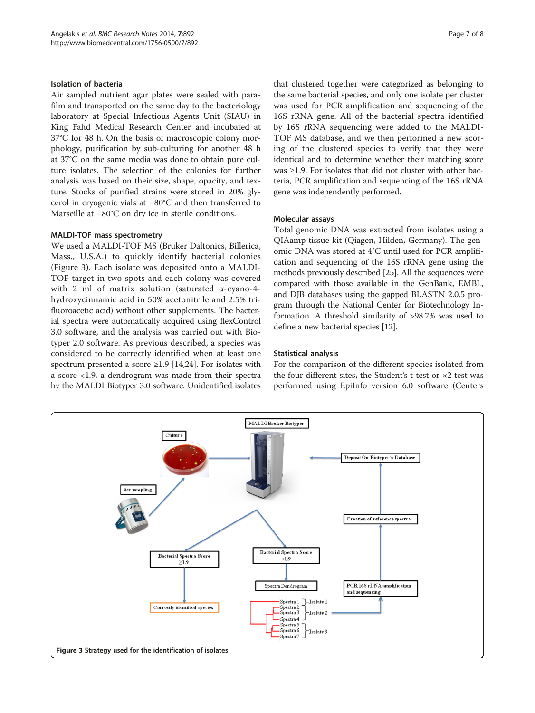#### Isolation of bacteria

Air sampled nutrient agar plates were sealed with parafilm and transported on the same day to the bacteriology laboratory at Special Infectious Agents Unit (SIAU) in King Fahd Medical Research Center and incubated at 37°C for 48 h. On the basis of macroscopic colony morphology, purification by sub-culturing for another 48 h at 37°C on the same media was done to obtain pure culture isolates. The selection of the colonies for further analysis was based on their size, shape, opacity, and texture. Stocks of purified strains were stored in 20% glycerol in cryogenic vials at −80°C and then transferred to Marseille at −80°C on dry ice in sterile conditions.

#### MALDI-TOF mass spectrometry

We used a MALDI-TOF MS (Bruker Daltonics, Billerica, Mass., U.S.A.) to quickly identify bacterial colonies (Figure 3). Each isolate was deposited onto a MALDI-TOF target in two spots and each colony was covered with 2 ml of matrix solution (saturated α-cyano-4 hydroxycinnamic acid in 50% acetonitrile and 2.5% trifluoroacetic acid) without other supplements. The bacterial spectra were automatically acquired using flexControl 3.0 software, and the analysis was carried out with Biotyper 2.0 software. As previous described, a species was considered to be correctly identified when at least one spectrum presented a score  $\geq$ 1.9 [\[14,24\]](#page-7-0). For isolates with a score <1.9, a dendrogram was made from their spectra by the MALDI Biotyper 3.0 software. Unidentified isolates

that clustered together were categorized as belonging to the same bacterial species, and only one isolate per cluster was used for PCR amplification and sequencing of the 16S rRNA gene. All of the bacterial spectra identified by 16S rRNA sequencing were added to the MALDI-TOF MS database, and we then performed a new scoring of the clustered species to verify that they were identical and to determine whether their matching score was ≥1.9. For isolates that did not cluster with other bacteria, PCR amplification and sequencing of the 16S rRNA gene was independently performed.

#### Molecular assays

Total genomic DNA was extracted from isolates using a QIAamp tissue kit (Qiagen, Hilden, Germany). The genomic DNA was stored at 4°C until used for PCR amplification and sequencing of the 16S rRNA gene using the methods previously described [\[25\]](#page-7-0). All the sequences were compared with those available in the GenBank, EMBL, and DJB databases using the gapped BLASTN 2.0.5 program through the National Center for Biotechnology Information. A threshold similarity of >98.7% was used to define a new bacterial species [[12\]](#page-7-0).

### Statistical analysis

For the comparison of the different species isolated from the four different sites, the Student's t-test or ×2 test was performed using EpiInfo version 6.0 software (Centers